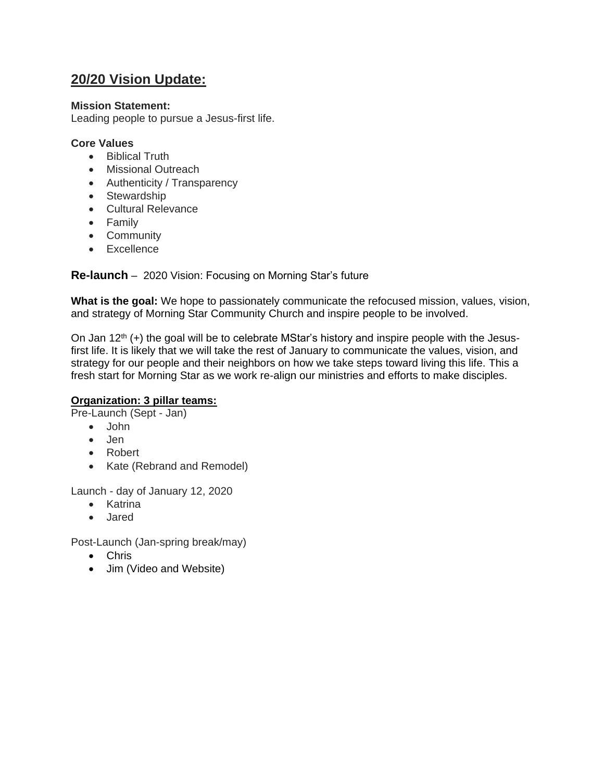# **20/20 Vision Update:**

### **Mission Statement:**

Leading people to pursue a Jesus-first life.

#### **Core Values**

- Biblical Truth
- Missional Outreach
- Authenticity / Transparency
- Stewardship
- Cultural Relevance
- Family
- Community
- Excellence

## **Re-launch** – 2020 Vision: Focusing on Morning Star's future

**What is the goal:** We hope to passionately communicate the refocused mission, values, vision, and strategy of Morning Star Community Church and inspire people to be involved.

On Jan  $12<sup>th</sup>$  (+) the goal will be to celebrate MStar's history and inspire people with the Jesusfirst life. It is likely that we will take the rest of January to communicate the values, vision, and strategy for our people and their neighbors on how we take steps toward living this life. This a fresh start for Morning Star as we work re-align our ministries and efforts to make disciples.

### **Organization: 3 pillar teams:**

Pre-Launch (Sept - Jan)

- John
- Jen
- Robert
- Kate (Rebrand and Remodel)

Launch - day of January 12, 2020

- Katrina
- Jared

Post-Launch (Jan-spring break/may)

- Chris
- Jim (Video and Website)